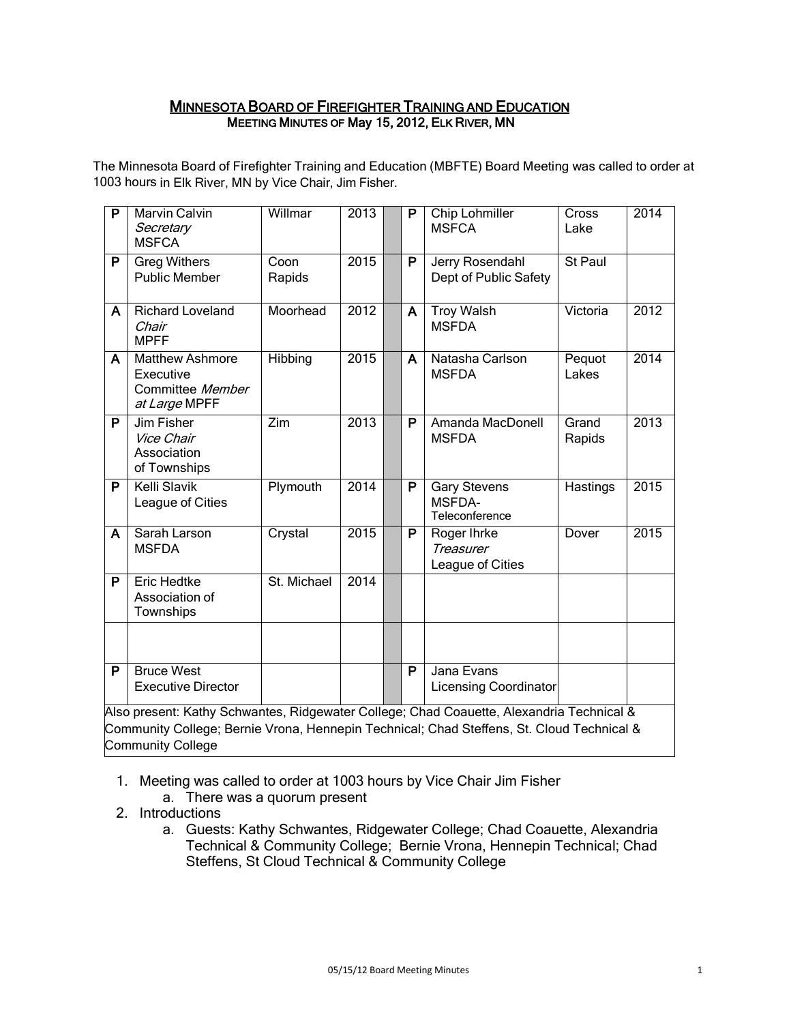### MINNESOTA BOARD OF FIREFIGHTER TRAINING AND EDUCATION MEETING MINUTES OF May 15, 2012, ELK RIVER, MN

The Minnesota Board of Firefighter Training and Education (MBFTE) Board Meeting was called to order at 1003 hours in Elk River, MN by Vice Chair, Jim Fisher.

| $\overline{P}$ | <b>Marvin Calvin</b><br>Secretary<br><b>MSFCA</b>                                         | Willmar        | 2013 |  | P                       | <b>Chip Lohmiller</b><br><b>MSFCA</b>                  | Cross<br>Lake   | 2014 |
|----------------|-------------------------------------------------------------------------------------------|----------------|------|--|-------------------------|--------------------------------------------------------|-----------------|------|
| P              | <b>Greg Withers</b><br><b>Public Member</b>                                               | Coon<br>Rapids | 2015 |  | P                       | Jerry Rosendahl<br>Dept of Public Safety               | St Paul         |      |
| A              | Richard Loveland<br>Chair<br><b>MPFF</b>                                                  | Moorhead       | 2012 |  | A                       | <b>Troy Walsh</b><br><b>MSFDA</b>                      | Victoria        | 2012 |
| A              | <b>Matthew Ashmore</b><br>Executive<br>Committee Member<br>at Large MPFF                  | Hibbing        | 2015 |  | A                       | Natasha Carlson<br><b>MSFDA</b>                        | Pequot<br>Lakes | 2014 |
| P              | Jim Fisher<br>Vice Chair<br>Association<br>of Townships                                   | Zim            | 2013 |  | P                       | Amanda MacDonell<br><b>MSFDA</b>                       | Grand<br>Rapids | 2013 |
| P              | Kelli Slavik<br>League of Cities                                                          | Plymouth       | 2014 |  | P                       | <b>Gary Stevens</b><br><b>MSFDA-</b><br>Teleconference | Hastings        | 2015 |
| A              | Sarah Larson<br><b>MSFDA</b>                                                              | Crystal        | 2015 |  | P                       | Roger Ihrke<br><b>Treasurer</b><br>League of Cities    | Dover           | 2015 |
| P              | <b>Eric Hedtke</b><br>Association of<br>Townships                                         | St. Michael    | 2014 |  |                         |                                                        |                 |      |
|                |                                                                                           |                |      |  |                         |                                                        |                 |      |
| P              | <b>Bruce West</b><br><b>Executive Director</b>                                            |                |      |  | $\overline{\mathsf{P}}$ | Jana Evans<br>Licensing Coordinator                    |                 |      |
|                | Also present: Kathy Schwantes, Ridgewater College; Chad Coauette, Alexandria Technical &  |                |      |  |                         |                                                        |                 |      |
|                | Community College; Bernie Vrona, Hennepin Technical; Chad Steffens, St. Cloud Technical & |                |      |  |                         |                                                        |                 |      |

Community College

- 1. Meeting was called to order at 1003 hours by Vice Chair Jim Fisher
	- a. There was a quorum present
- 2. Introductions
	- a. Guests: Kathy Schwantes, Ridgewater College; Chad Coauette, Alexandria Technical & Community College; Bernie Vrona, Hennepin Technical; Chad Steffens, St Cloud Technical & Community College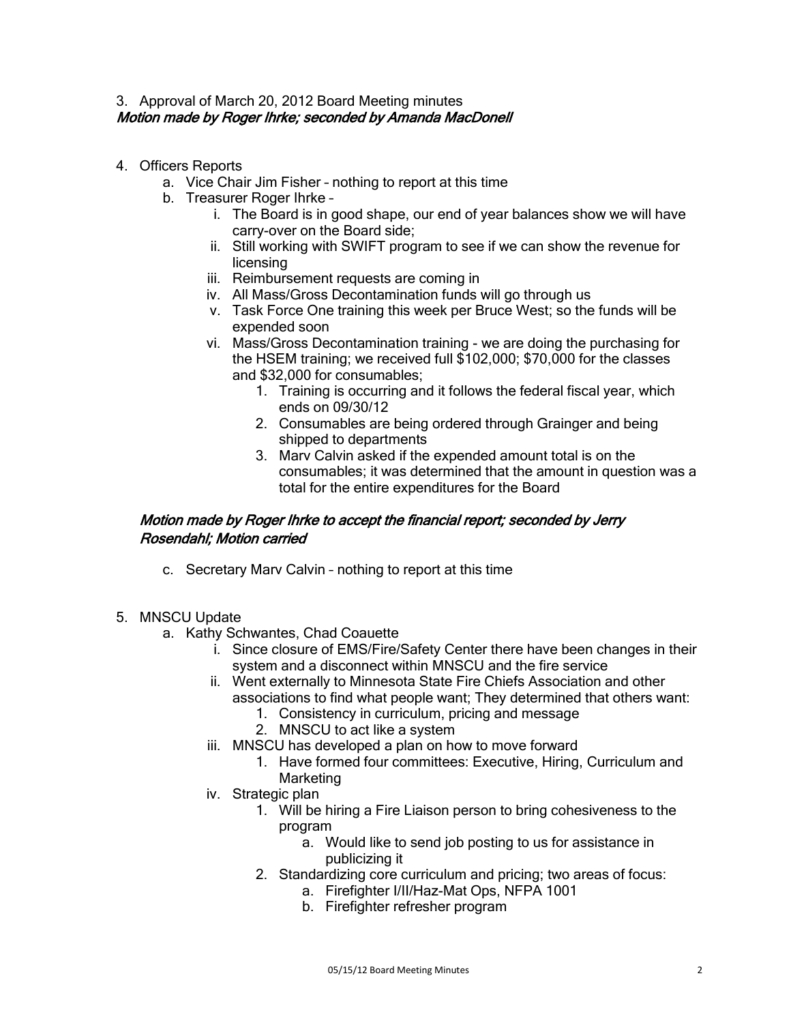### 3. Approval of March 20, 2012 Board Meeting minutes Motion made by Roger Ihrke; seconded by Amanda MacDonell

- 4. Officers Reports
	- a. Vice Chair Jim Fisher nothing to report at this time
	- b. Treasurer Roger Ihrke
		- i. The Board is in good shape, our end of year balances show we will have carry-over on the Board side;
		- ii. Still working with SWIFT program to see if we can show the revenue for licensing
		- iii. Reimbursement requests are coming in
		- iv. All Mass/Gross Decontamination funds will go through us
		- v. Task Force One training this week per Bruce West; so the funds will be expended soon
		- vi. Mass/Gross Decontamination training we are doing the purchasing for the HSEM training; we received full \$102,000; \$70,000 for the classes and \$32,000 for consumables;
			- 1. Training is occurring and it follows the federal fiscal year, which ends on 09/30/12
			- 2. Consumables are being ordered through Grainger and being shipped to departments
			- 3. Marv Calvin asked if the expended amount total is on the consumables; it was determined that the amount in question was a total for the entire expenditures for the Board

## Motion made by Roger Ihrke to accept the financial report; seconded by Jerry Rosendahl; Motion carried

- c. Secretary Marv Calvin nothing to report at this time
- 5. MNSCU Update
	- a. Kathy Schwantes, Chad Coauette
		- i. Since closure of EMS/Fire/Safety Center there have been changes in their system and a disconnect within MNSCU and the fire service
		- ii. Went externally to Minnesota State Fire Chiefs Association and other associations to find what people want; They determined that others want:
			- 1. Consistency in curriculum, pricing and message
			- 2. MNSCU to act like a system
		- iii. MNSCU has developed a plan on how to move forward
			- 1. Have formed four committees: Executive, Hiring, Curriculum and Marketing
		- iv. Strategic plan
			- 1. Will be hiring a Fire Liaison person to bring cohesiveness to the program
				- a. Would like to send job posting to us for assistance in publicizing it
			- 2. Standardizing core curriculum and pricing; two areas of focus:
				- a. Firefighter I/II/Haz-Mat Ops, NFPA 1001
					- b. Firefighter refresher program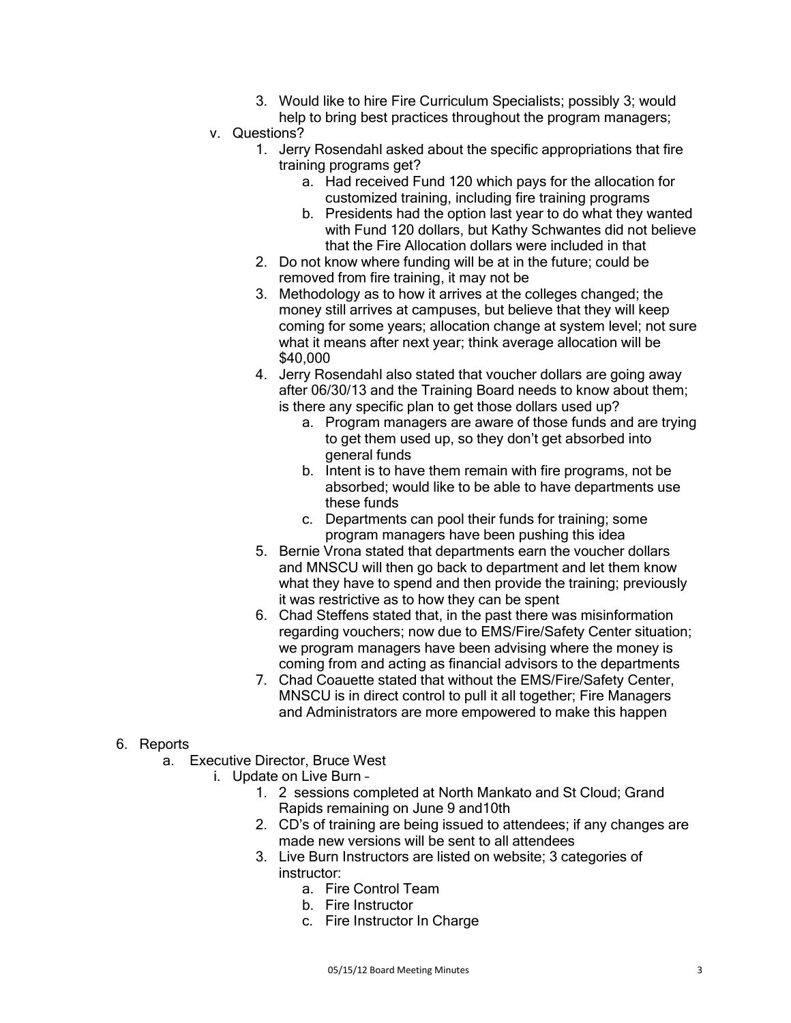- 3. Would like to hire Fire Curriculum Specialists; possibly 3; would help to bring best practices throughout the program managers;
- v. Questions?
	- 1. Jerry Rosendahl asked about the specific appropriations that fire training programs get?
		- a. Had received Fund 120 which pays for the allocation for customized training, including fire training programs
		- b. Presidents had the option last year to do what they wanted with Fund 120 dollars, but Kathy Schwantes did not believe that the Fire Allocation dollars were included in that
	- 2. Do not know where funding will be at in the future; could be removed from fire training, it may not be
	- 3. Methodology as to how it arrives at the colleges changed; the money still arrives at campuses, but believe that they will keep coming for some years; allocation change at system level; not sure what it means after next year; think average allocation will be \$40,000
	- 4. Jerry Rosendahl also stated that voucher dollars are going away after 06/30/13 and the Training Board needs to know about them; is there any specific plan to get those dollars used up?
		- a. Program managers are aware of those funds and are trying to get them used up, so they don't get absorbed into general funds
		- b. Intent is to have them remain with fire programs, not be absorbed; would like to be able to have departments use these funds
		- c. Departments can pool their funds for training; some program managers have been pushing this idea
	- 5. Bernie Vrona stated that departments earn the voucher dollars and MNSCU will then go back to department and let them know what they have to spend and then provide the training; previously it was restrictive as to how they can be spent
	- 6. Chad Steffens stated that, in the past there was misinformation regarding vouchers; now due to EMS/Fire/Safety Center situation; we program managers have been advising where the money is coming from and acting as financial advisors to the departments
	- 7. Chad Coauette stated that without the EMS/Fire/Safety Center, MNSCU is in direct control to pull it all together; Fire Managers and Administrators are more empowered to make this happen

## 6. Reports

- a. Executive Director, Bruce West
	- i. Update on Live Burn
		- 1. 2 sessions completed at North Mankato and St Cloud; Grand Rapids remaining on June 9 and10th
		- 2. CD's of training are being issued to attendees; if any changes are made new versions will be sent to all attendees
		- 3. Live Burn Instructors are listed on website; 3 categories of instructor:
			- a. Fire Control Team
			- b. Fire Instructor
			- c. Fire Instructor In Charge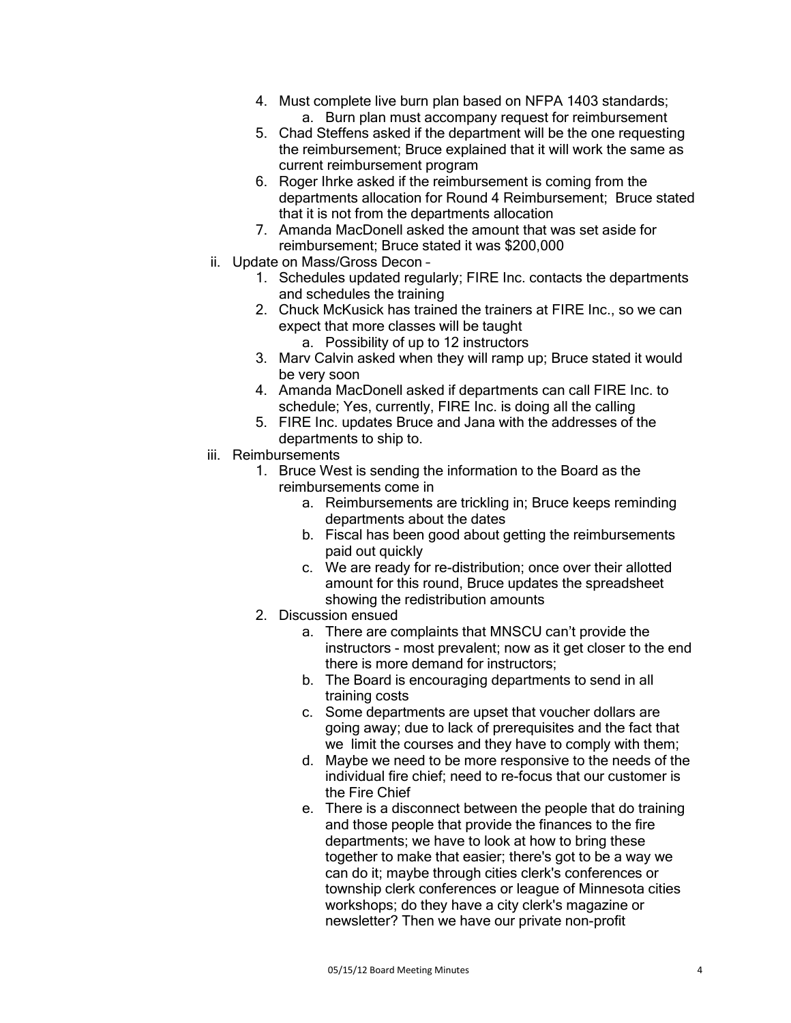- 4. Must complete live burn plan based on NFPA 1403 standards;
	- a. Burn plan must accompany request for reimbursement
- 5. Chad Steffens asked if the department will be the one requesting the reimbursement; Bruce explained that it will work the same as current reimbursement program
- 6. Roger Ihrke asked if the reimbursement is coming from the departments allocation for Round 4 Reimbursement; Bruce stated that it is not from the departments allocation
- 7. Amanda MacDonell asked the amount that was set aside for reimbursement; Bruce stated it was \$200,000
- ii. Update on Mass/Gross Decon
	- 1. Schedules updated regularly; FIRE Inc. contacts the departments and schedules the training
	- 2. Chuck McKusick has trained the trainers at FIRE Inc., so we can expect that more classes will be taught
		- a. Possibility of up to 12 instructors
	- 3. Marv Calvin asked when they will ramp up; Bruce stated it would be very soon
	- 4. Amanda MacDonell asked if departments can call FIRE Inc. to schedule; Yes, currently, FIRE Inc. is doing all the calling
	- 5. FIRE Inc. updates Bruce and Jana with the addresses of the departments to ship to.
- iii. Reimbursements
	- 1. Bruce West is sending the information to the Board as the reimbursements come in
		- a. Reimbursements are trickling in; Bruce keeps reminding departments about the dates
		- b. Fiscal has been good about getting the reimbursements paid out quickly
		- c. We are ready for re-distribution; once over their allotted amount for this round, Bruce updates the spreadsheet showing the redistribution amounts
	- 2. Discussion ensued
		- a. There are complaints that MNSCU can't provide the instructors - most prevalent; now as it get closer to the end there is more demand for instructors;
		- b. The Board is encouraging departments to send in all training costs
		- c. Some departments are upset that voucher dollars are going away; due to lack of prerequisites and the fact that we limit the courses and they have to comply with them;
		- d. Maybe we need to be more responsive to the needs of the individual fire chief; need to re-focus that our customer is the Fire Chief
		- e. There is a disconnect between the people that do training and those people that provide the finances to the fire departments; we have to look at how to bring these together to make that easier; there's got to be a way we can do it; maybe through cities clerk's conferences or township clerk conferences or league of Minnesota cities workshops; do they have a city clerk's magazine or newsletter? Then we have our private non-profit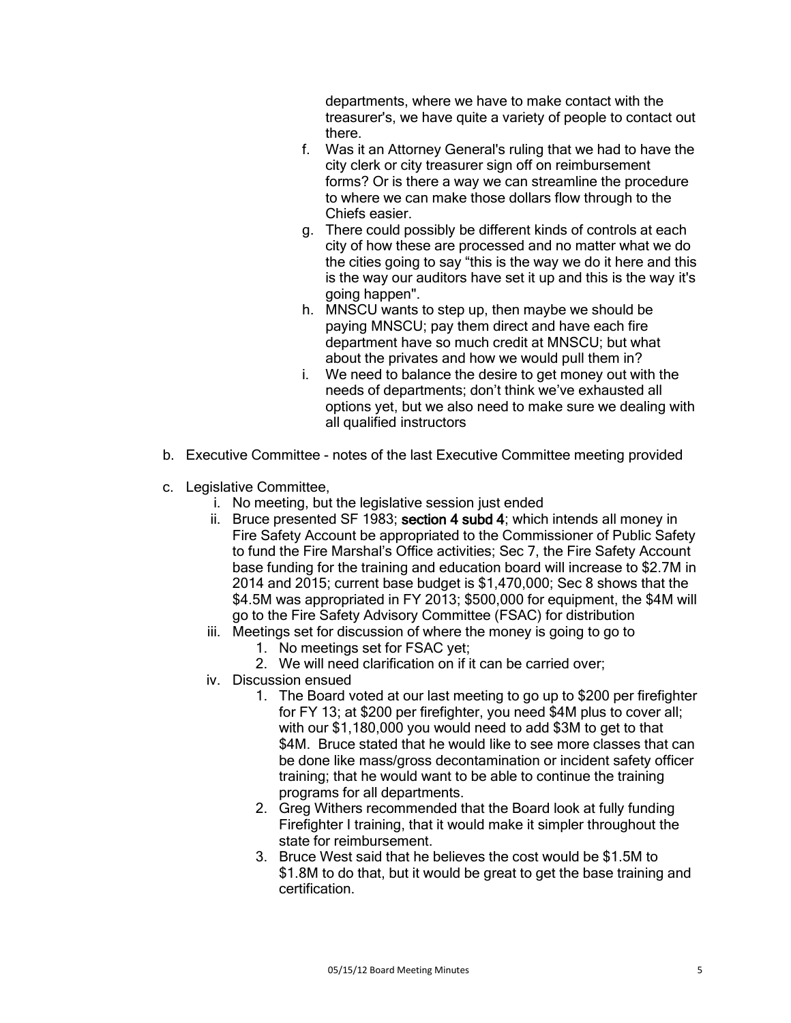departments, where we have to make contact with the treasurer's, we have quite a variety of people to contact out there.

- f. Was it an Attorney General's ruling that we had to have the city clerk or city treasurer sign off on reimbursement forms? Or is there a way we can streamline the procedure to where we can make those dollars flow through to the Chiefs easier.
- g. There could possibly be different kinds of controls at each city of how these are processed and no matter what we do the cities going to say "this is the way we do it here and this is the way our auditors have set it up and this is the way it's going happen".
- h. MNSCU wants to step up, then maybe we should be paying MNSCU; pay them direct and have each fire department have so much credit at MNSCU; but what about the privates and how we would pull them in?
- i. We need to balance the desire to get money out with the needs of departments; don't think we've exhausted all options yet, but we also need to make sure we dealing with all qualified instructors
- b. Executive Committee notes of the last Executive Committee meeting provided
- c. Legislative Committee,
	- i. No meeting, but the legislative session just ended
	- ii. Bruce presented SF 1983; section 4 subd 4; which intends all money in Fire Safety Account be appropriated to the Commissioner of Public Safety to fund the Fire Marshal's Office activities; Sec 7, the Fire Safety Account base funding for the training and education board will increase to \$2.7M in 2014 and 2015; current base budget is \$1,470,000; Sec 8 shows that the \$4.5M was appropriated in FY 2013; \$500,000 for equipment, the \$4M will go to the Fire Safety Advisory Committee (FSAC) for distribution
	- iii. Meetings set for discussion of where the money is going to go to
		- 1. No meetings set for FSAC yet;
		- 2. We will need clarification on if it can be carried over;
	- iv. Discussion ensued
		- 1. The Board voted at our last meeting to go up to \$200 per firefighter for FY 13; at \$200 per firefighter, you need \$4M plus to cover all; with our \$1,180,000 you would need to add \$3M to get to that \$4M. Bruce stated that he would like to see more classes that can be done like mass/gross decontamination or incident safety officer training; that he would want to be able to continue the training programs for all departments.
		- 2. Greg Withers recommended that the Board look at fully funding Firefighter I training, that it would make it simpler throughout the state for reimbursement.
		- 3. Bruce West said that he believes the cost would be \$1.5M to \$1.8M to do that, but it would be great to get the base training and certification.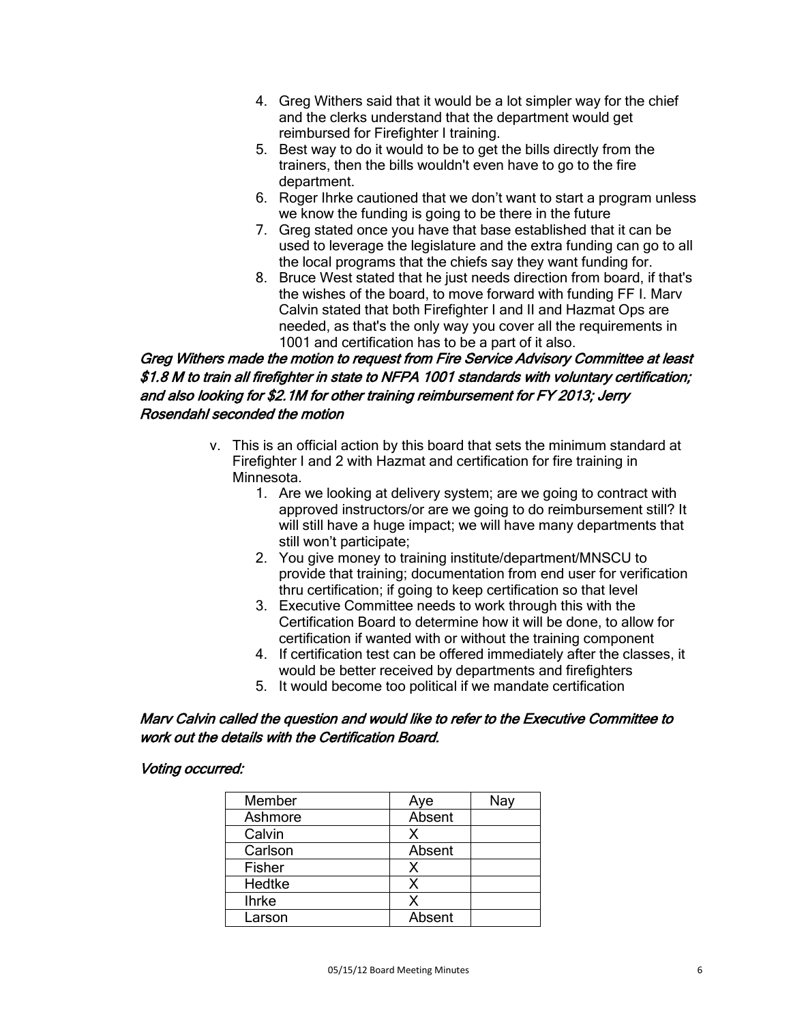- 4. Greg Withers said that it would be a lot simpler way for the chief and the clerks understand that the department would get reimbursed for Firefighter I training.
- 5. Best way to do it would to be to get the bills directly from the trainers, then the bills wouldn't even have to go to the fire department.
- 6. Roger Ihrke cautioned that we don't want to start a program unless we know the funding is going to be there in the future
- 7. Greg stated once you have that base established that it can be used to leverage the legislature and the extra funding can go to all the local programs that the chiefs say they want funding for.
- 8. Bruce West stated that he just needs direction from board, if that's the wishes of the board, to move forward with funding FF I. Marv Calvin stated that both Firefighter I and II and Hazmat Ops are needed, as that's the only way you cover all the requirements in 1001 and certification has to be a part of it also.

# Greg Withers made the motion to request from Fire Service Advisory Committee at least \$1.8 M to train all firefighter in state to NFPA 1001 standards with voluntary certification; and also looking for \$2.1M for other training reimbursement for FY 2013; Jerry Rosendahl seconded the motion

- v. This is an official action by this board that sets the minimum standard at Firefighter I and 2 with Hazmat and certification for fire training in Minnesota.
	- 1. Are we looking at delivery system; are we going to contract with approved instructors/or are we going to do reimbursement still? It will still have a huge impact; we will have many departments that still won't participate;
	- 2. You give money to training institute/department/MNSCU to provide that training; documentation from end user for verification thru certification; if going to keep certification so that level
	- 3. Executive Committee needs to work through this with the Certification Board to determine how it will be done, to allow for certification if wanted with or without the training component
	- 4. If certification test can be offered immediately after the classes, it would be better received by departments and firefighters
	- 5. It would become too political if we mandate certification

## Marv Calvin called the question and would like to refer to the Executive Committee to work out the details with the Certification Board.

### Voting occurred:

| Member       | Aye    | Nay |
|--------------|--------|-----|
| Ashmore      | Absent |     |
| Calvin       | x      |     |
| Carlson      | Absent |     |
| Fisher       | х      |     |
| Hedtke       | x      |     |
| <b>Ihrke</b> | x      |     |
| Larson       | Absent |     |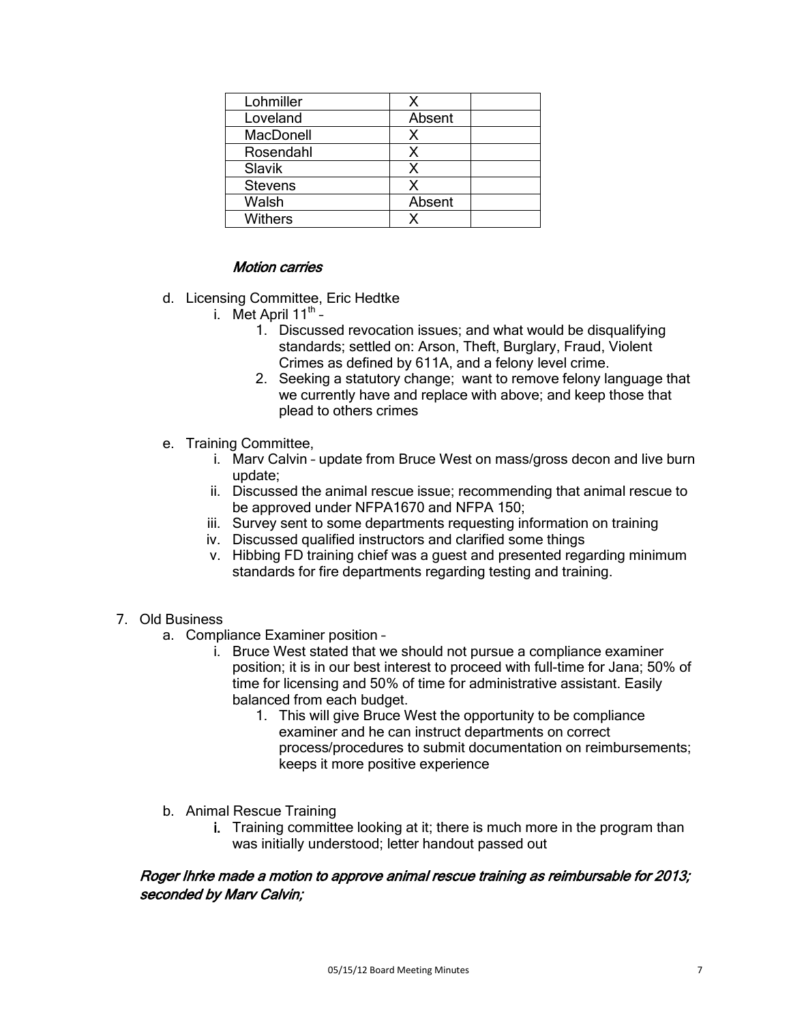| Lohmiller        |        |
|------------------|--------|
| Loveland         | Absent |
| <b>MacDonell</b> |        |
| Rosendahl        | X      |
| Slavik           | X      |
| <b>Stevens</b>   | χ      |
| Walsh            | Absent |
| <b>Withers</b>   |        |

### Motion carries

- d. Licensing Committee, Eric Hedtke
	- i. Met April  $11^{th}$ 
		- 1. Discussed revocation issues; and what would be disqualifying standards; settled on: Arson, Theft, Burglary, Fraud, Violent Crimes as defined by 611A, and a felony level crime.
		- 2. Seeking a statutory change; want to remove felony language that we currently have and replace with above; and keep those that plead to others crimes
- e. Training Committee,
	- i. Marv Calvin update from Bruce West on mass/gross decon and live burn update;
	- ii. Discussed the animal rescue issue; recommending that animal rescue to be approved under NFPA1670 and NFPA 150;
	- iii. Survey sent to some departments requesting information on training
	- iv. Discussed qualified instructors and clarified some things
	- v. Hibbing FD training chief was a guest and presented regarding minimum standards for fire departments regarding testing and training.
- 7. Old Business
	- a. Compliance Examiner position
		- i. Bruce West stated that we should not pursue a compliance examiner position; it is in our best interest to proceed with full-time for Jana; 50% of time for licensing and 50% of time for administrative assistant. Easily balanced from each budget.
			- 1. This will give Bruce West the opportunity to be compliance examiner and he can instruct departments on correct process/procedures to submit documentation on reimbursements; keeps it more positive experience
	- b. Animal Rescue Training
		- i. Training committee looking at it; there is much more in the program than was initially understood; letter handout passed out

### Roger Ihrke made a motion to approve animal rescue training as reimbursable for 2013; seconded by Marv Calvin;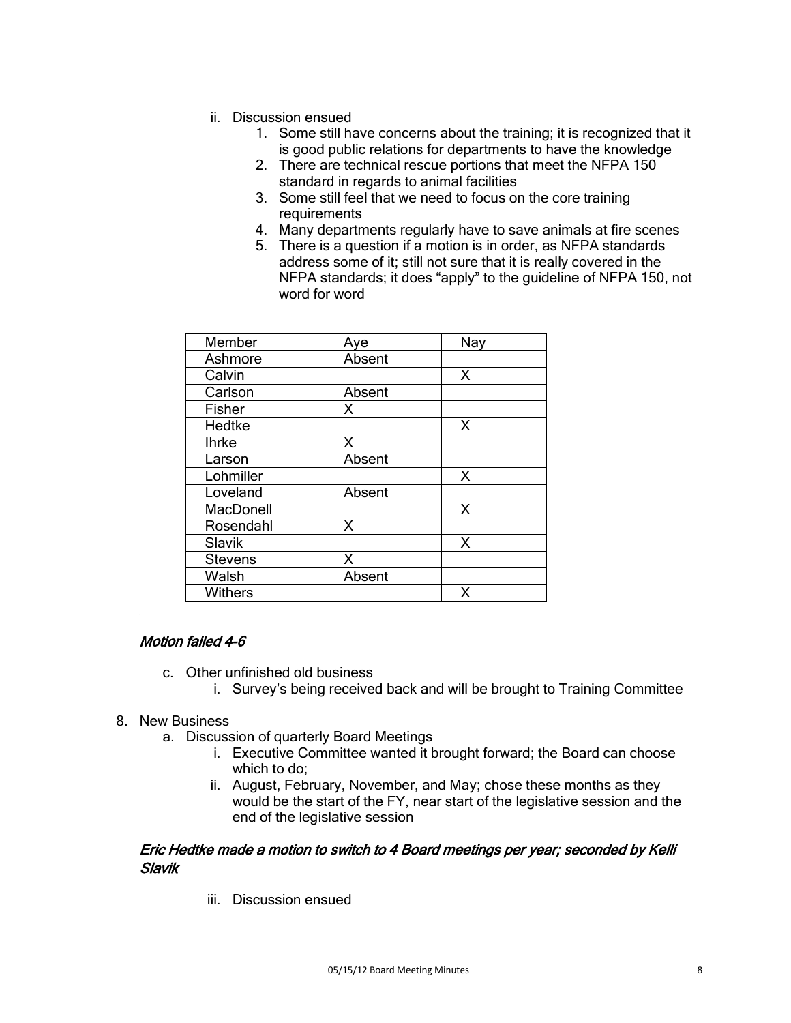- ii. Discussion ensued
	- 1. Some still have concerns about the training; it is recognized that it is good public relations for departments to have the knowledge
	- 2. There are technical rescue portions that meet the NFPA 150 standard in regards to animal facilities
	- 3. Some still feel that we need to focus on the core training requirements
	- 4. Many departments regularly have to save animals at fire scenes
	- 5. There is a question if a motion is in order, as NFPA standards address some of it; still not sure that it is really covered in the NFPA standards; it does "apply" to the guideline of NFPA 150, not word for word

| Member           | Aye    | Nay |
|------------------|--------|-----|
| Ashmore          | Absent |     |
| Calvin           |        | X   |
| Carlson          | Absent |     |
| Fisher           | X      |     |
| Hedtke           |        | X   |
| <b>Ihrke</b>     | x      |     |
| Larson           | Absent |     |
| Lohmiller        |        | X   |
| Loveland         | Absent |     |
| <b>MacDonell</b> |        | X   |
| Rosendahl        | X      |     |
| Slavik           |        | X   |
| <b>Stevens</b>   | X      |     |
| Walsh            | Absent |     |
| <b>Withers</b>   |        | х   |

### Motion failed 4-6

- c. Other unfinished old business
	- i. Survey's being received back and will be brought to Training Committee

#### 8. New Business

- a. Discussion of quarterly Board Meetings
	- i. Executive Committee wanted it brought forward; the Board can choose which to do;
	- ii. August, February, November, and May; chose these months as they would be the start of the FY, near start of the legislative session and the end of the legislative session

#### Eric Hedtke made a motion to switch to 4 Board meetings per year; seconded by Kelli Slavik

iii. Discussion ensued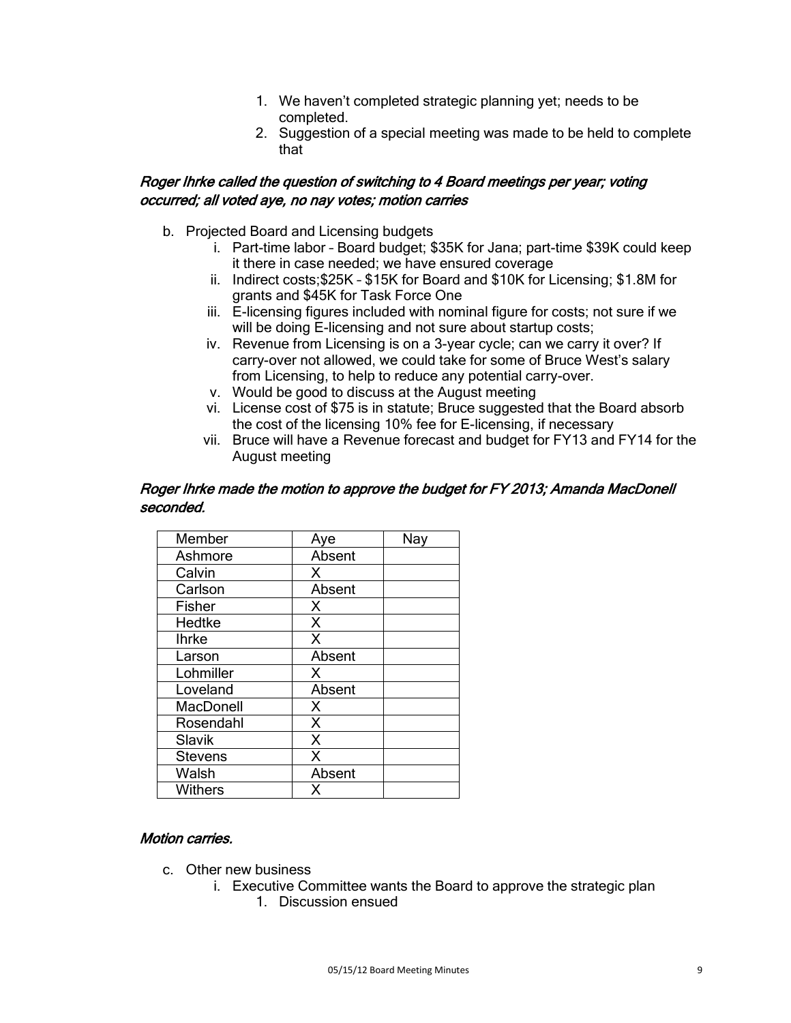- 1. We haven't completed strategic planning yet; needs to be completed.
- 2. Suggestion of a special meeting was made to be held to complete that

## Roger Ihrke called the question of switching to 4 Board meetings per year; voting occurred; all voted aye, no nay votes; motion carries

- b. Projected Board and Licensing budgets
	- i. Part-time labor Board budget; \$35K for Jana; part-time \$39K could keep it there in case needed; we have ensured coverage
	- ii. Indirect costs;\$25K \$15K for Board and \$10K for Licensing; \$1.8M for grants and \$45K for Task Force One
	- iii. E-licensing figures included with nominal figure for costs; not sure if we will be doing E-licensing and not sure about startup costs;
	- iv. Revenue from Licensing is on a 3-year cycle; can we carry it over? If carry-over not allowed, we could take for some of Bruce West's salary from Licensing, to help to reduce any potential carry-over.
	- v. Would be good to discuss at the August meeting
	- vi. License cost of \$75 is in statute; Bruce suggested that the Board absorb the cost of the licensing 10% fee for E-licensing, if necessary
	- vii. Bruce will have a Revenue forecast and budget for FY13 and FY14 for the August meeting

#### Roger Ihrke made the motion to approve the budget for FY 2013; Amanda MacDonell seconded.

| Member         | Aye    | Nav |
|----------------|--------|-----|
| Ashmore        | Absent |     |
| Calvin         | Х      |     |
| Carlson        | Absent |     |
| Fisher         | X      |     |
| Hedtke         | X      |     |
| <b>Ihrke</b>   | X      |     |
| Larson         | Absent |     |
| Lohmiller      | X      |     |
| Loveland       | Absent |     |
| MacDonell      | X      |     |
| Rosendahl      | X      |     |
| Slavik         | X      |     |
| <b>Stevens</b> | X      |     |
| Walsh          | Absent |     |
| Withers        |        |     |

### Motion carries.

- c. Other new business
	- i. Executive Committee wants the Board to approve the strategic plan
		- 1. Discussion ensued